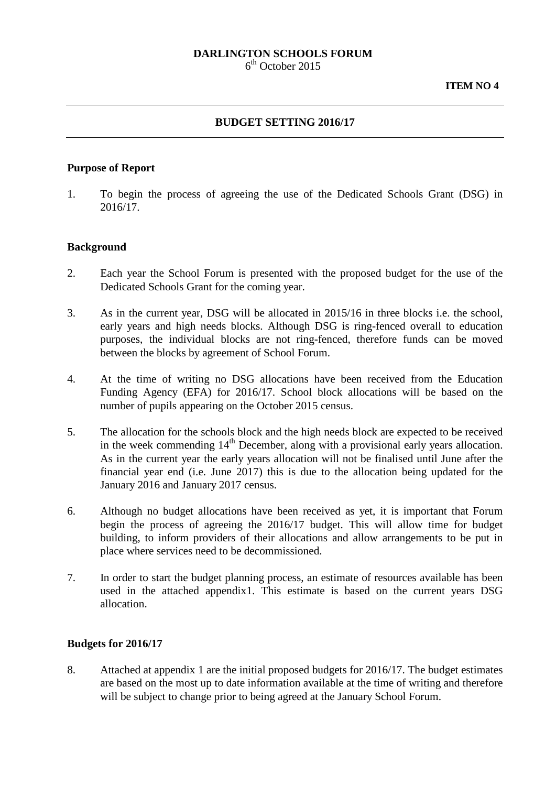# **DARLINGTON SCHOOLS FORUM**

 $6<sup>th</sup>$  October 2015

## **BUDGET SETTING 2016/17**

## **Purpose of Report**

1. To begin the process of agreeing the use of the Dedicated Schools Grant (DSG) in 2016/17.

## **Background**

- 2. Each year the School Forum is presented with the proposed budget for the use of the Dedicated Schools Grant for the coming year.
- 3. As in the current year, DSG will be allocated in 2015/16 in three blocks i.e. the school, early years and high needs blocks. Although DSG is ring-fenced overall to education purposes, the individual blocks are not ring-fenced, therefore funds can be moved between the blocks by agreement of School Forum.
- 4. At the time of writing no DSG allocations have been received from the Education Funding Agency (EFA) for 2016/17. School block allocations will be based on the number of pupils appearing on the October 2015 census.
- 5. The allocation for the schools block and the high needs block are expected to be received in the week commending  $14<sup>th</sup>$  December, along with a provisional early years allocation. As in the current year the early years allocation will not be finalised until June after the financial year end (i.e. June 2017) this is due to the allocation being updated for the January 2016 and January 2017 census.
- 6. Although no budget allocations have been received as yet, it is important that Forum begin the process of agreeing the 2016/17 budget. This will allow time for budget building, to inform providers of their allocations and allow arrangements to be put in place where services need to be decommissioned.
- 7. In order to start the budget planning process, an estimate of resources available has been used in the attached appendix1. This estimate is based on the current years DSG allocation.

## **Budgets for 2016/17**

8. Attached at appendix 1 are the initial proposed budgets for 2016/17. The budget estimates are based on the most up to date information available at the time of writing and therefore will be subject to change prior to being agreed at the January School Forum.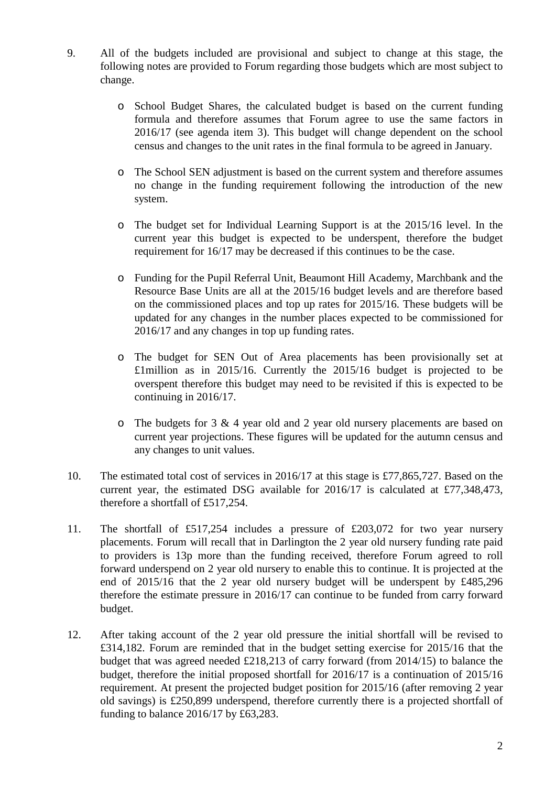- 9. All of the budgets included are provisional and subject to change at this stage, the following notes are provided to Forum regarding those budgets which are most subject to change.
	- o School Budget Shares, the calculated budget is based on the current funding formula and therefore assumes that Forum agree to use the same factors in 2016/17 (see agenda item 3). This budget will change dependent on the school census and changes to the unit rates in the final formula to be agreed in January.
	- o The School SEN adjustment is based on the current system and therefore assumes no change in the funding requirement following the introduction of the new system.
	- o The budget set for Individual Learning Support is at the 2015/16 level. In the current year this budget is expected to be underspent, therefore the budget requirement for 16/17 may be decreased if this continues to be the case.
	- o Funding for the Pupil Referral Unit, Beaumont Hill Academy, Marchbank and the Resource Base Units are all at the 2015/16 budget levels and are therefore based on the commissioned places and top up rates for 2015/16. These budgets will be updated for any changes in the number places expected to be commissioned for 2016/17 and any changes in top up funding rates.
	- o The budget for SEN Out of Area placements has been provisionally set at £1million as in 2015/16. Currently the 2015/16 budget is projected to be overspent therefore this budget may need to be revisited if this is expected to be continuing in 2016/17.
	- o The budgets for 3 & 4 year old and 2 year old nursery placements are based on current year projections. These figures will be updated for the autumn census and any changes to unit values.
- 10. The estimated total cost of services in 2016/17 at this stage is £77,865,727. Based on the current year, the estimated DSG available for 2016/17 is calculated at £77,348,473, therefore a shortfall of £517,254.
- 11. The shortfall of £517,254 includes a pressure of £203,072 for two year nursery placements. Forum will recall that in Darlington the 2 year old nursery funding rate paid to providers is 13p more than the funding received, therefore Forum agreed to roll forward underspend on 2 year old nursery to enable this to continue. It is projected at the end of 2015/16 that the 2 year old nursery budget will be underspent by £485,296 therefore the estimate pressure in 2016/17 can continue to be funded from carry forward budget.
- 12. After taking account of the 2 year old pressure the initial shortfall will be revised to £314,182. Forum are reminded that in the budget setting exercise for 2015/16 that the budget that was agreed needed £218,213 of carry forward (from 2014/15) to balance the budget, therefore the initial proposed shortfall for 2016/17 is a continuation of 2015/16 requirement. At present the projected budget position for 2015/16 (after removing 2 year old savings) is £250,899 underspend, therefore currently there is a projected shortfall of funding to balance 2016/17 by £63,283.